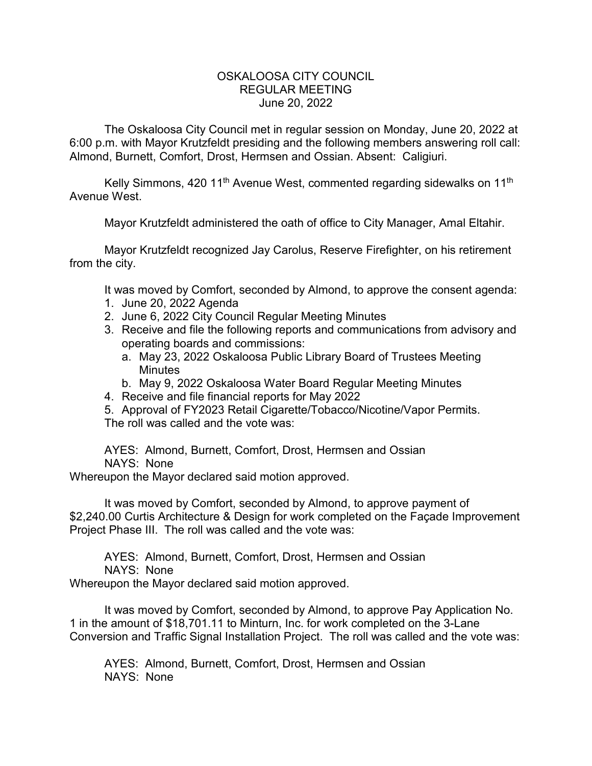## OSKALOOSA CITY COUNCIL REGULAR MEETING June 20, 2022

The Oskaloosa City Council met in regular session on Monday, June 20, 2022 at 6:00 p.m. with Mayor Krutzfeldt presiding and the following members answering roll call: Almond, Burnett, Comfort, Drost, Hermsen and Ossian. Absent: Caligiuri.

Kelly Simmons, 420 11<sup>th</sup> Avenue West, commented regarding sidewalks on 11<sup>th</sup> Avenue West.

Mayor Krutzfeldt administered the oath of office to City Manager, Amal Eltahir.

Mayor Krutzfeldt recognized Jay Carolus, Reserve Firefighter, on his retirement from the city.

It was moved by Comfort, seconded by Almond, to approve the consent agenda:

- 1. June 20, 2022 Agenda
- 2. June 6, 2022 City Council Regular Meeting Minutes
- 3. Receive and file the following reports and communications from advisory and operating boards and commissions:
	- a. May 23, 2022 Oskaloosa Public Library Board of Trustees Meeting **Minutes**
	- b. May 9, 2022 Oskaloosa Water Board Regular Meeting Minutes
- 4. Receive and file financial reports for May 2022
- 5. Approval of FY2023 Retail Cigarette/Tobacco/Nicotine/Vapor Permits. The roll was called and the vote was:

AYES: Almond, Burnett, Comfort, Drost, Hermsen and Ossian NAYS: None

Whereupon the Mayor declared said motion approved.

It was moved by Comfort, seconded by Almond, to approve payment of \$2,240.00 Curtis Architecture & Design for work completed on the Façade Improvement Project Phase III. The roll was called and the vote was:

AYES: Almond, Burnett, Comfort, Drost, Hermsen and Ossian NAYS: None

Whereupon the Mayor declared said motion approved.

It was moved by Comfort, seconded by Almond, to approve Pay Application No. 1 in the amount of \$18,701.11 to Minturn, Inc. for work completed on the 3-Lane Conversion and Traffic Signal Installation Project. The roll was called and the vote was:

AYES: Almond, Burnett, Comfort, Drost, Hermsen and Ossian NAYS: None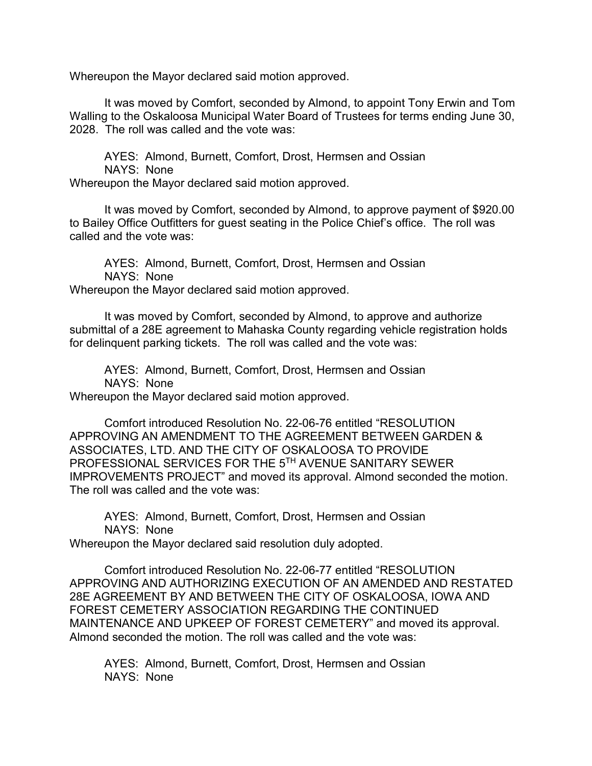Whereupon the Mayor declared said motion approved.

It was moved by Comfort, seconded by Almond, to appoint Tony Erwin and Tom Walling to the Oskaloosa Municipal Water Board of Trustees for terms ending June 30, 2028. The roll was called and the vote was:

AYES: Almond, Burnett, Comfort, Drost, Hermsen and Ossian NAYS: None Whereupon the Mayor declared said motion approved.

It was moved by Comfort, seconded by Almond, to approve payment of \$920.00 to Bailey Office Outfitters for guest seating in the Police Chief's office. The roll was called and the vote was:

AYES: Almond, Burnett, Comfort, Drost, Hermsen and Ossian NAYS: None Whereupon the Mayor declared said motion approved.

It was moved by Comfort, seconded by Almond, to approve and authorize submittal of a 28E agreement to Mahaska County regarding vehicle registration holds for delinquent parking tickets. The roll was called and the vote was:

AYES: Almond, Burnett, Comfort, Drost, Hermsen and Ossian NAYS: None Whereupon the Mayor declared said motion approved.

Comfort introduced Resolution No. 22-06-76 entitled "RESOLUTION APPROVING AN AMENDMENT TO THE AGREEMENT BETWEEN GARDEN & ASSOCIATES, LTD. AND THE CITY OF OSKALOOSA TO PROVIDE PROFESSIONAL SERVICES FOR THE 5TH AVENUE SANITARY SEWER IMPROVEMENTS PROJECT" and moved its approval. Almond seconded the motion. The roll was called and the vote was:

AYES: Almond, Burnett, Comfort, Drost, Hermsen and Ossian NAYS: None

Whereupon the Mayor declared said resolution duly adopted.

Comfort introduced Resolution No. 22-06-77 entitled "RESOLUTION APPROVING AND AUTHORIZING EXECUTION OF AN AMENDED AND RESTATED 28E AGREEMENT BY AND BETWEEN THE CITY OF OSKALOOSA, IOWA AND FOREST CEMETERY ASSOCIATION REGARDING THE CONTINUED MAINTENANCE AND UPKEEP OF FOREST CEMETERY" and moved its approval. Almond seconded the motion. The roll was called and the vote was:

AYES: Almond, Burnett, Comfort, Drost, Hermsen and Ossian NAYS: None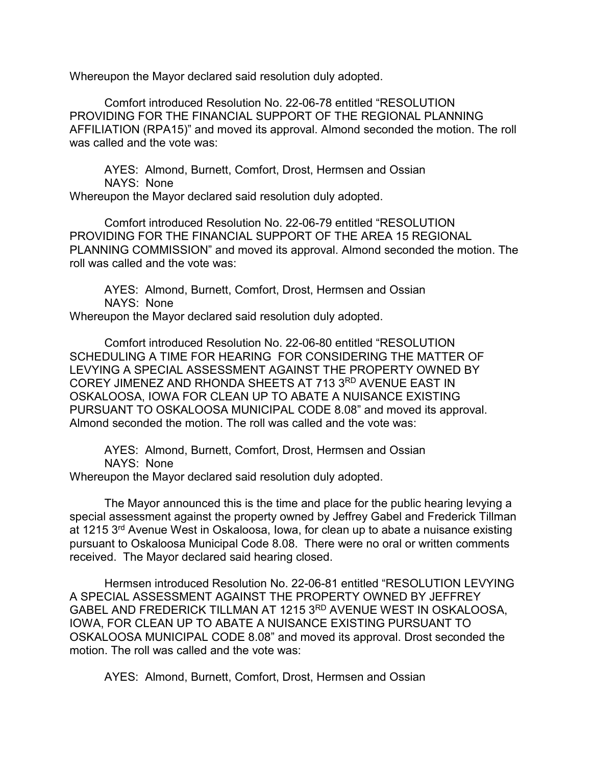Whereupon the Mayor declared said resolution duly adopted.

Comfort introduced Resolution No. 22-06-78 entitled "RESOLUTION PROVIDING FOR THE FINANCIAL SUPPORT OF THE REGIONAL PLANNING AFFILIATION (RPA15)" and moved its approval. Almond seconded the motion. The roll was called and the vote was:

AYES: Almond, Burnett, Comfort, Drost, Hermsen and Ossian NAYS: None Whereupon the Mayor declared said resolution duly adopted.

Comfort introduced Resolution No. 22-06-79 entitled "RESOLUTION PROVIDING FOR THE FINANCIAL SUPPORT OF THE AREA 15 REGIONAL PLANNING COMMISSION" and moved its approval. Almond seconded the motion. The roll was called and the vote was:

AYES: Almond, Burnett, Comfort, Drost, Hermsen and Ossian NAYS: None Whereupon the Mayor declared said resolution duly adopted.

Comfort introduced Resolution No. 22-06-80 entitled "RESOLUTION SCHEDULING A TIME FOR HEARING FOR CONSIDERING THE MATTER OF LEVYING A SPECIAL ASSESSMENT AGAINST THE PROPERTY OWNED BY COREY JIMENEZ AND RHONDA SHEETS AT 713 3RD AVENUE EAST IN OSKALOOSA, IOWA FOR CLEAN UP TO ABATE A NUISANCE EXISTING PURSUANT TO OSKALOOSA MUNICIPAL CODE 8.08" and moved its approval. Almond seconded the motion. The roll was called and the vote was:

AYES: Almond, Burnett, Comfort, Drost, Hermsen and Ossian NAYS: None

Whereupon the Mayor declared said resolution duly adopted.

The Mayor announced this is the time and place for the public hearing levying a special assessment against the property owned by Jeffrey Gabel and Frederick Tillman at 1215 3<sup>rd</sup> Avenue West in Oskaloosa, Iowa, for clean up to abate a nuisance existing pursuant to Oskaloosa Municipal Code 8.08. There were no oral or written comments received. The Mayor declared said hearing closed.

Hermsen introduced Resolution No. 22-06-81 entitled "RESOLUTION LEVYING A SPECIAL ASSESSMENT AGAINST THE PROPERTY OWNED BY JEFFREY GABEL AND FREDERICK TILLMAN AT 1215 3RD AVENUE WEST IN OSKALOOSA, IOWA, FOR CLEAN UP TO ABATE A NUISANCE EXISTING PURSUANT TO OSKALOOSA MUNICIPAL CODE 8.08" and moved its approval. Drost seconded the motion. The roll was called and the vote was:

AYES: Almond, Burnett, Comfort, Drost, Hermsen and Ossian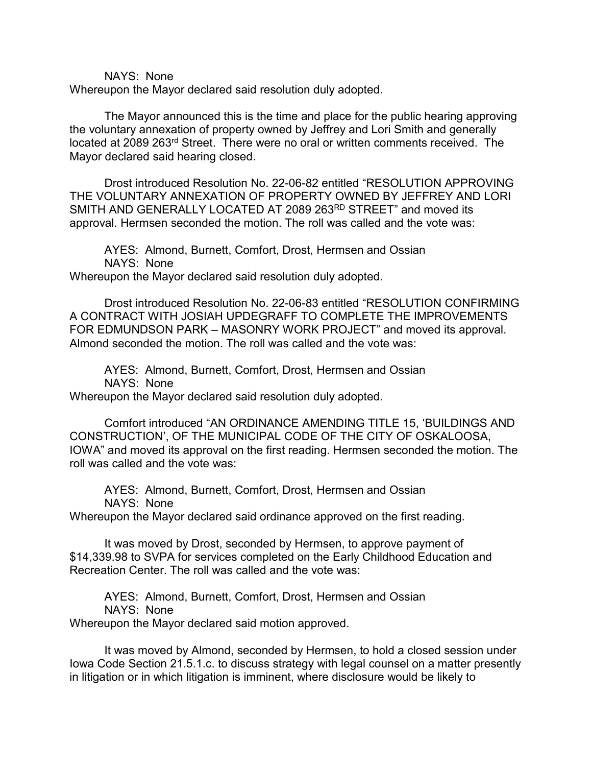NAYS: None

Whereupon the Mayor declared said resolution duly adopted.

The Mayor announced this is the time and place for the public hearing approving the voluntary annexation of property owned by Jeffrey and Lori Smith and generally located at 2089 263rd Street. There were no oral or written comments received. The Mayor declared said hearing closed.

Drost introduced Resolution No. 22-06-82 entitled "RESOLUTION APPROVING THE VOLUNTARY ANNEXATION OF PROPERTY OWNED BY JEFFREY AND LORI SMITH AND GENERALLY LOCATED AT 2089 263RD STREET" and moved its approval. Hermsen seconded the motion. The roll was called and the vote was:

AYES: Almond, Burnett, Comfort, Drost, Hermsen and Ossian NAYS: None Whereupon the Mayor declared said resolution duly adopted.

Drost introduced Resolution No. 22-06-83 entitled "RESOLUTION CONFIRMING A CONTRACT WITH JOSIAH UPDEGRAFF TO COMPLETE THE IMPROVEMENTS FOR EDMUNDSON PARK – MASONRY WORK PROJECT" and moved its approval. Almond seconded the motion. The roll was called and the vote was:

AYES: Almond, Burnett, Comfort, Drost, Hermsen and Ossian NAYS: None

Whereupon the Mayor declared said resolution duly adopted.

Comfort introduced "AN ORDINANCE AMENDING TITLE 15, 'BUILDINGS AND CONSTRUCTION', OF THE MUNICIPAL CODE OF THE CITY OF OSKALOOSA, IOWA" and moved its approval on the first reading. Hermsen seconded the motion. The roll was called and the vote was:

AYES: Almond, Burnett, Comfort, Drost, Hermsen and Ossian NAYS: None

Whereupon the Mayor declared said ordinance approved on the first reading.

It was moved by Drost, seconded by Hermsen, to approve payment of \$14,339.98 to SVPA for services completed on the Early Childhood Education and Recreation Center. The roll was called and the vote was:

AYES: Almond, Burnett, Comfort, Drost, Hermsen and Ossian NAYS: None

Whereupon the Mayor declared said motion approved.

It was moved by Almond, seconded by Hermsen, to hold a closed session under Iowa Code Section 21.5.1.c. to discuss strategy with legal counsel on a matter presently in litigation or in which litigation is imminent, where disclosure would be likely to